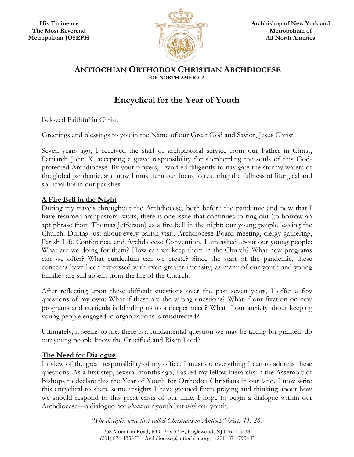

#### **ANTIOCHIAN ORTHODOX CHRISTIAN ARCHDIOCESE OF NORTH AMERICA**

# **Encyclical for the Year of Youth**

Beloved Faithful in Christ,

Greetings and blessings to you in the Name of our Great God and Savior, Jesus Christ!

Seven years ago, I received the staff of archpastoral service from our Father in Christ, Patriarch John X, accepting a grave responsibility for shepherding the souls of this Godprotected Archdiocese. By your prayers, I worked diligently to navigate the stormy waters of the global pandemic, and now I must turn our focus to restoring the fullness of liturgical and spiritual life in our parishes.

# **A Fire Bell in the Night**

During my travels throughout the Archdiocese, both before the pandemic and now that I have resumed archpastoral visits, there is one issue that continues to ring out (to borrow an apt phrase from Thomas Jefferson) as a fire bell in the night: our young people leaving the Church. During just about every parish visit, Archdiocese Board meeting, clergy gathering, Parish Life Conference, and Archdiocese Convention, I am asked about our young people: What are we doing for them? How can we keep them in the Church? What new programs can we offer? What curriculum can we create? Since the start of the pandemic, these concerns have been expressed with even greater intensity, as many of our youth and young families are still absent from the life of the Church.

After reflecting upon these difficult questions over the past seven years, I offer a few questions of my own: What if these are the wrong questions? What if our fixation on new programs and curricula is blinding us to a deeper need? What if our anxiety about keeping young people engaged in organizations is misdirected?

Ultimately, it seems to me, there is a fundamental question we may be taking for granted: do our young people know the Crucified and Risen Lord?

# **The Need for Dialogue**

In view of the great responsibility of my office, I must do everything I can to address these questions. As a first step, several months ago, I asked my fellow hierarchs in the Assembly of Bishops to declare this the Year of Youth for Orthodox Christians in our land. I now write this encyclical to share some insights I have gleaned from praying and thinking about how we should respond to this great crisis of our time. I hope to begin a dialogue within our Archdiocese—a dialogue not *about* our youth but *with* our youth.

> *"The disciples were first called Christians in Antioch" (Acts 11: 26)*  358 Mountain Road**,** P.O. Box 5238**,** Englewood**,** NJ 07631-5238 (201) 871-1355 T Archdiocese@antiochian.org (201) 871-7954 F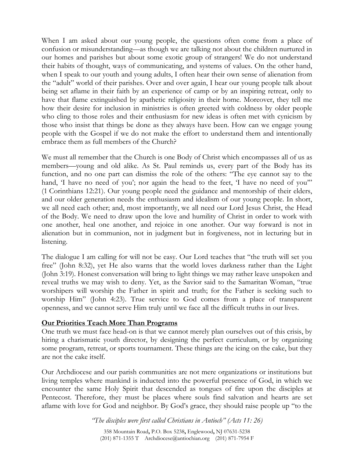When I am asked about our young people, the questions often come from a place of confusion or misunderstanding—as though we are talking not about the children nurtured in our homes and parishes but about some exotic group of strangers! We do not understand their habits of thought, ways of communicating, and systems of values. On the other hand, when I speak to our youth and young adults, I often hear their own sense of alienation from the "adult" world of their parishes. Over and over again, I hear our young people talk about being set aflame in their faith by an experience of camp or by an inspiring retreat, only to have that flame extinguished by apathetic religiosity in their home. Moreover, they tell me how their desire for inclusion in ministries is often greeted with coldness by older people who cling to those roles and their enthusiasm for new ideas is often met with cynicism by those who insist that things be done as they always have been. How can we engage young people with the Gospel if we do not make the effort to understand them and intentionally embrace them as full members of the Church?

We must all remember that the Church is one Body of Christ which encompasses all of us as members—young and old alike. As St. Paul reminds us, every part of the Body has its function, and no one part can dismiss the role of the others: "The eye cannot say to the hand, I have no need of you'; nor again the head to the feet, I have no need of you" (1 Corinthians 12:21). Our young people need the guidance and mentorship of their elders, and our older generation needs the enthusiasm and idealism of our young people. In short, we all need each other; and, most importantly, we all need our Lord Jesus Christ, the Head of the Body. We need to draw upon the love and humility of Christ in order to work with one another, heal one another, and rejoice in one another. Our way forward is not in alienation but in communion, not in judgment but in forgiveness, not in lecturing but in listening.

The dialogue I am calling for will not be easy. Our Lord teaches that "the truth will set you free" (John 8:32), yet He also warns that the world loves darkness rather than the Light (John 3:19). Honest conversation will bring to light things we may rather leave unspoken and reveal truths we may wish to deny. Yet, as the Savior said to the Samaritan Woman, "true worshipers will worship the Father in spirit and truth; for the Father is seeking such to worship Him" (John 4:23). True service to God comes from a place of transparent openness, and we cannot serve Him truly until we face all the difficult truths in our lives.

#### **Our Priorities Teach More Than Programs**

One truth we must face head-on is that we cannot merely plan ourselves out of this crisis, by hiring a charismatic youth director, by designing the perfect curriculum, or by organizing some program, retreat, or sports tournament. These things are the icing on the cake, but they are not the cake itself.

Our Archdiocese and our parish communities are not mere organizations or institutions but living temples where mankind is inducted into the powerful presence of God, in which we encounter the same Holy Spirit that descended as tongues of fire upon the disciples at Pentecost. Therefore, they must be places where souls find salvation and hearts are set aflame with love for God and neighbor. By God's grace, they should raise people up "to the

> *"The disciples were first called Christians in Antioch" (Acts 11: 26)*  358 Mountain Road**,** P.O. Box 5238**,** Englewood**,** NJ 07631-5238 (201) 871-1355 T Archdiocese@antiochian.org (201) 871-7954 F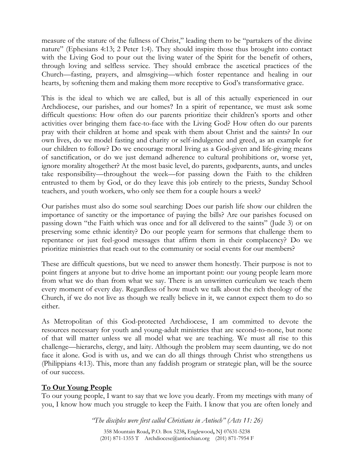measure of the stature of the fullness of Christ," leading them to be "partakers of the divine nature" (Ephesians 4:13; 2 Peter 1:4). They should inspire those thus brought into contact with the Living God to pour out the living water of the Spirit for the benefit of others, through loving and selfless service. They should embrace the ascetical practices of the Church—fasting, prayers, and almsgiving—which foster repentance and healing in our hearts, by softening them and making them more receptive to God's transformative grace.

This is the ideal to which we are called, but is all of this actually experienced in our Archdiocese, our parishes, and our homes? In a spirit of repentance, we must ask some difficult questions: How often do our parents prioritize their children's sports and other activities over bringing them face-to-face with the Living God? How often do our parents pray with their children at home and speak with them about Christ and the saints? In our own lives, do we model fasting and charity or self-indulgence and greed, as an example for our children to follow? Do we encourage moral living as a God-given and life-giving means of sanctification, or do we just demand adherence to cultural prohibitions or, worse yet, ignore morality altogether? At the most basic level, do parents, godparents, aunts, and uncles take responsibility—throughout the week—for passing down the Faith to the children entrusted to them by God, or do they leave this job entirely to the priests, Sunday School teachers, and youth workers, who only see them for a couple hours a week?

Our parishes must also do some soul searching: Does our parish life show our children the importance of sanctity or the importance of paying the bills? Are our parishes focused on passing down "the Faith which was once and for all delivered to the saints" (Jude 3) or on preserving some ethnic identity? Do our people yearn for sermons that challenge them to repentance or just feel-good messages that affirm them in their complacency? Do we prioritize ministries that reach out to the community or social events for our members?

These are difficult questions, but we need to answer them honestly. Their purpose is not to point fingers at anyone but to drive home an important point: our young people learn more from what we do than from what we say. There is an unwritten curriculum we teach them every moment of every day. Regardless of how much we talk about the rich theology of the Church, if we do not live as though we really believe in it, we cannot expect them to do so either.

As Metropolitan of this God-protected Archdiocese, I am committed to devote the resources necessary for youth and young-adult ministries that are second-to-none, but none of that will matter unless we all model what we are teaching. We must all rise to this challenge—hierarchs, clergy, and laity. Although the problem may seem daunting, we do not face it alone. God is with us, and we can do all things through Christ who strengthens us (Philippians 4:13). This, more than any faddish program or strategic plan, will be the source of our success.

# **To Our Young People**

To our young people, I want to say that we love you dearly. From my meetings with many of you, I know how much you struggle to keep the Faith. I know that you are often lonely and

*"The disciples were first called Christians in Antioch" (Acts 11: 26)* 

358 Mountain Road**,** P.O. Box 5238**,** Englewood**,** NJ 07631-5238 (201) 871-1355 T Archdiocese@antiochian.org (201) 871-7954 F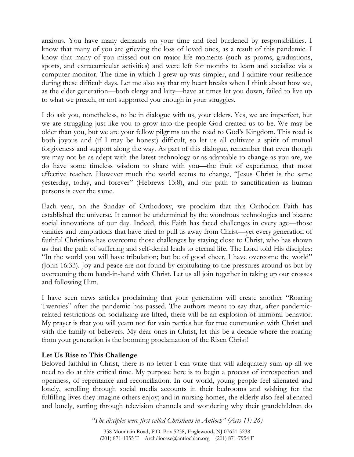anxious. You have many demands on your time and feel burdened by responsibilities. I know that many of you are grieving the loss of loved ones, as a result of this pandemic. I know that many of you missed out on major life moments (such as proms, graduations, sports, and extracurricular activities) and were left for months to learn and socialize via a computer monitor. The time in which I grew up was simpler, and I admire your resilience during these difficult days. Let me also say that my heart breaks when I think about how we, as the elder generation—both clergy and laity—have at times let you down, failed to live up to what we preach, or not supported you enough in your struggles.

I do ask you, nonetheless, to be in dialogue with us, your elders. Yes, we are imperfect, but we are struggling just like you to grow into the people God created us to be. We may be older than you, but we are your fellow pilgrims on the road to God's Kingdom. This road is both joyous and (if I may be honest) difficult, so let us all cultivate a spirit of mutual forgiveness and support along the way. As part of this dialogue, remember that even though we may not be as adept with the latest technology or as adaptable to change as you are, we do have some timeless wisdom to share with you—the fruit of experience, that most effective teacher. However much the world seems to change, "Jesus Christ is the same yesterday, today, and forever" (Hebrews 13:8), and our path to sanctification as human persons is ever the same.

Each year, on the Sunday of Orthodoxy, we proclaim that this Orthodox Faith has established the universe. It cannot be undermined by the wondrous technologies and bizarre social innovations of our day. Indeed, this Faith has faced challenges in every age—those vanities and temptations that have tried to pull us away from Christ—yet every generation of faithful Christians has overcome those challenges by staying close to Christ, who has shown us that the path of suffering and self-denial leads to eternal life. The Lord told His disciples: "In the world you will have tribulation; but be of good cheer, I have overcome the world" (John 16:33). Joy and peace are not found by capitulating to the pressures around us but by overcoming them hand-in-hand with Christ. Let us all join together in taking up our crosses and following Him.

I have seen news articles proclaiming that your generation will create another "Roaring Twenties" after the pandemic has passed. The authors meant to say that, after pandemicrelated restrictions on socializing are lifted, there will be an explosion of immoral behavior. My prayer is that you will yearn not for vain parties but for true communion with Christ and with the family of believers. My dear ones in Christ, let this be a decade where the roaring from your generation is the booming proclamation of the Risen Christ!

#### **Let Us Rise to This Challenge**

Beloved faithful in Christ, there is no letter I can write that will adequately sum up all we need to do at this critical time. My purpose here is to begin a process of introspection and openness, of repentance and reconciliation. In our world, young people feel alienated and lonely, scrolling through social media accounts in their bedrooms and wishing for the fulfilling lives they imagine others enjoy; and in nursing homes, the elderly also feel alienated and lonely, surfing through television channels and wondering why their grandchildren do

> *"The disciples were first called Christians in Antioch" (Acts 11: 26)*  358 Mountain Road**,** P.O. Box 5238**,** Englewood**,** NJ 07631-5238 (201) 871-1355 T Archdiocese@antiochian.org (201) 871-7954 F